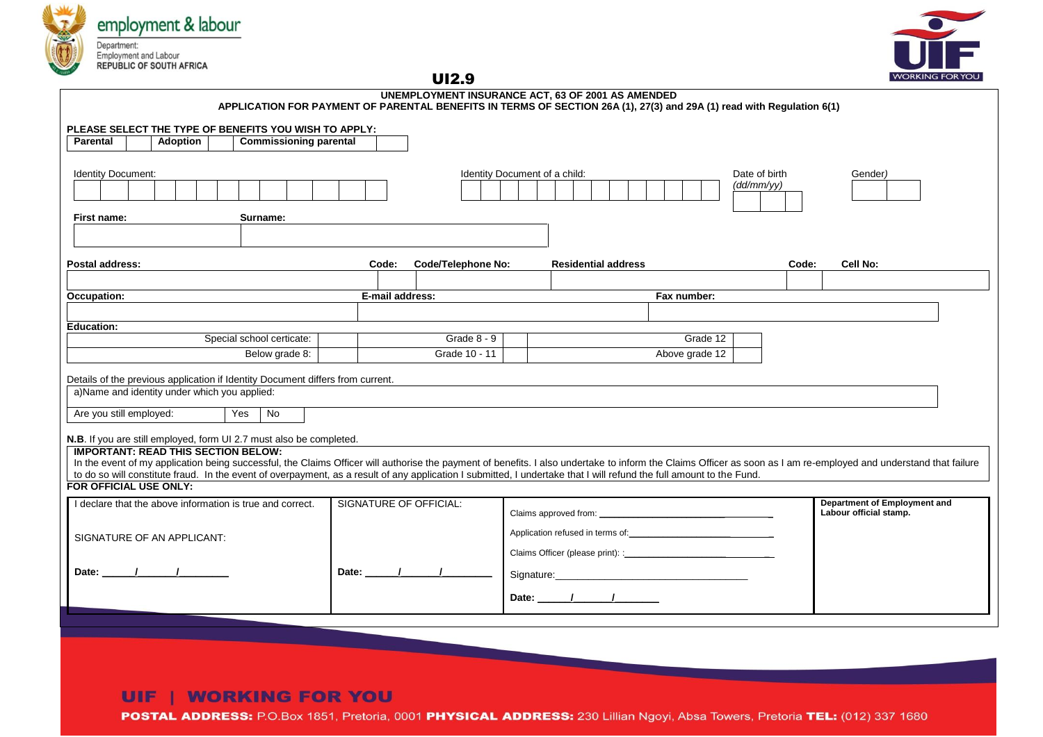



UI2.9

| UNEMPLOYMENT INSURANCE ACT, 63 OF 2001 AS AMENDED<br>APPLICATION FOR PAYMENT OF PARENTAL BENEFITS IN TERMS OF SECTION 26A (1), 27(3) and 29A (1) read with Regulation 6(1)                                                                                      |                                                                                                    |  |  |  |  |  |  |  |  |                                                                                                                                                                                                                                                                                                                                                                                                                          |                               |                 |  |  |  |                            |          |                     |  |  |  |  |  |                             |                                                        |       |          |  |  |
|-----------------------------------------------------------------------------------------------------------------------------------------------------------------------------------------------------------------------------------------------------------------|----------------------------------------------------------------------------------------------------|--|--|--|--|--|--|--|--|--------------------------------------------------------------------------------------------------------------------------------------------------------------------------------------------------------------------------------------------------------------------------------------------------------------------------------------------------------------------------------------------------------------------------|-------------------------------|-----------------|--|--|--|----------------------------|----------|---------------------|--|--|--|--|--|-----------------------------|--------------------------------------------------------|-------|----------|--|--|
| Parental                                                                                                                                                                                                                                                        | PLEASE SELECT THE TYPE OF BENEFITS YOU WISH TO APPLY:<br><b>Commissioning parental</b><br>Adoption |  |  |  |  |  |  |  |  |                                                                                                                                                                                                                                                                                                                                                                                                                          |                               |                 |  |  |  |                            |          |                     |  |  |  |  |  |                             |                                                        |       |          |  |  |
|                                                                                                                                                                                                                                                                 |                                                                                                    |  |  |  |  |  |  |  |  |                                                                                                                                                                                                                                                                                                                                                                                                                          |                               |                 |  |  |  |                            |          |                     |  |  |  |  |  |                             |                                                        |       |          |  |  |
| Identity Document:                                                                                                                                                                                                                                              |                                                                                                    |  |  |  |  |  |  |  |  |                                                                                                                                                                                                                                                                                                                                                                                                                          | Identity Document of a child: |                 |  |  |  |                            |          |                     |  |  |  |  |  | Date of birth<br>(dd/mm/yy) |                                                        |       | Gender)  |  |  |
|                                                                                                                                                                                                                                                                 |                                                                                                    |  |  |  |  |  |  |  |  |                                                                                                                                                                                                                                                                                                                                                                                                                          |                               |                 |  |  |  |                            |          |                     |  |  |  |  |  |                             |                                                        |       |          |  |  |
| First name:<br>Surname:                                                                                                                                                                                                                                         |                                                                                                    |  |  |  |  |  |  |  |  |                                                                                                                                                                                                                                                                                                                                                                                                                          |                               |                 |  |  |  |                            |          |                     |  |  |  |  |  |                             |                                                        |       |          |  |  |
|                                                                                                                                                                                                                                                                 |                                                                                                    |  |  |  |  |  |  |  |  |                                                                                                                                                                                                                                                                                                                                                                                                                          |                               |                 |  |  |  |                            |          |                     |  |  |  |  |  |                             |                                                        |       |          |  |  |
|                                                                                                                                                                                                                                                                 |                                                                                                    |  |  |  |  |  |  |  |  |                                                                                                                                                                                                                                                                                                                                                                                                                          |                               |                 |  |  |  |                            |          |                     |  |  |  |  |  |                             |                                                        |       |          |  |  |
| Postal address:                                                                                                                                                                                                                                                 |                                                                                                    |  |  |  |  |  |  |  |  | <b>Code/Telephone No:</b><br>Code:                                                                                                                                                                                                                                                                                                                                                                                       |                               |                 |  |  |  | <b>Residential address</b> |          |                     |  |  |  |  |  |                             |                                                        | Code: | Cell No: |  |  |
|                                                                                                                                                                                                                                                                 | Occupation:                                                                                        |  |  |  |  |  |  |  |  |                                                                                                                                                                                                                                                                                                                                                                                                                          |                               | E-mail address: |  |  |  |                            |          |                     |  |  |  |  |  |                             |                                                        |       |          |  |  |
|                                                                                                                                                                                                                                                                 |                                                                                                    |  |  |  |  |  |  |  |  |                                                                                                                                                                                                                                                                                                                                                                                                                          |                               |                 |  |  |  |                            |          | Fax number:         |  |  |  |  |  |                             |                                                        |       |          |  |  |
| <b>Education:</b>                                                                                                                                                                                                                                               |                                                                                                    |  |  |  |  |  |  |  |  |                                                                                                                                                                                                                                                                                                                                                                                                                          |                               |                 |  |  |  |                            |          |                     |  |  |  |  |  |                             |                                                        |       |          |  |  |
| Special school certicate:                                                                                                                                                                                                                                       |                                                                                                    |  |  |  |  |  |  |  |  |                                                                                                                                                                                                                                                                                                                                                                                                                          | Grade 8 - 9                   |                 |  |  |  |                            | Grade 12 |                     |  |  |  |  |  |                             |                                                        |       |          |  |  |
| Below grade 8:                                                                                                                                                                                                                                                  |                                                                                                    |  |  |  |  |  |  |  |  |                                                                                                                                                                                                                                                                                                                                                                                                                          | Grade 10 - 11                 |                 |  |  |  | Above grade 12             |          |                     |  |  |  |  |  |                             |                                                        |       |          |  |  |
|                                                                                                                                                                                                                                                                 | Details of the previous application if Identity Document differs from current.                     |  |  |  |  |  |  |  |  |                                                                                                                                                                                                                                                                                                                                                                                                                          |                               |                 |  |  |  |                            |          |                     |  |  |  |  |  |                             |                                                        |       |          |  |  |
|                                                                                                                                                                                                                                                                 | a)Name and identity under which you applied:                                                       |  |  |  |  |  |  |  |  |                                                                                                                                                                                                                                                                                                                                                                                                                          |                               |                 |  |  |  |                            |          |                     |  |  |  |  |  |                             |                                                        |       |          |  |  |
| Yes<br>Are you still employed:<br>No.                                                                                                                                                                                                                           |                                                                                                    |  |  |  |  |  |  |  |  |                                                                                                                                                                                                                                                                                                                                                                                                                          |                               |                 |  |  |  |                            |          |                     |  |  |  |  |  |                             |                                                        |       |          |  |  |
|                                                                                                                                                                                                                                                                 |                                                                                                    |  |  |  |  |  |  |  |  |                                                                                                                                                                                                                                                                                                                                                                                                                          |                               |                 |  |  |  |                            |          |                     |  |  |  |  |  |                             |                                                        |       |          |  |  |
| N.B. If you are still employed, form UI 2.7 must also be completed.                                                                                                                                                                                             |                                                                                                    |  |  |  |  |  |  |  |  |                                                                                                                                                                                                                                                                                                                                                                                                                          |                               |                 |  |  |  |                            |          |                     |  |  |  |  |  |                             |                                                        |       |          |  |  |
| <b>IMPORTANT: READ THIS SECTION BELOW:</b><br>In the event of my application being successful, the Claims Officer will authorise the payment of benefits. I also undertake to inform the Claims Officer as soon as I am re-employed and understand that failure |                                                                                                    |  |  |  |  |  |  |  |  |                                                                                                                                                                                                                                                                                                                                                                                                                          |                               |                 |  |  |  |                            |          |                     |  |  |  |  |  |                             |                                                        |       |          |  |  |
| to do so will constitute fraud. In the event of overpayment, as a result of any application I submitted, I undertake that I will refund the full amount to the Fund.                                                                                            |                                                                                                    |  |  |  |  |  |  |  |  |                                                                                                                                                                                                                                                                                                                                                                                                                          |                               |                 |  |  |  |                            |          |                     |  |  |  |  |  |                             |                                                        |       |          |  |  |
| FOR OFFICIAL USE ONLY:                                                                                                                                                                                                                                          |                                                                                                    |  |  |  |  |  |  |  |  |                                                                                                                                                                                                                                                                                                                                                                                                                          |                               |                 |  |  |  |                            |          |                     |  |  |  |  |  |                             |                                                        |       |          |  |  |
| I declare that the above information is true and correct.                                                                                                                                                                                                       |                                                                                                    |  |  |  |  |  |  |  |  | <b>SIGNATURE OF OFFICIAL:</b>                                                                                                                                                                                                                                                                                                                                                                                            |                               |                 |  |  |  |                            |          |                     |  |  |  |  |  |                             | Department of Employment and<br>Labour official stamp. |       |          |  |  |
| SIGNATURE OF AN APPLICANT:                                                                                                                                                                                                                                      |                                                                                                    |  |  |  |  |  |  |  |  |                                                                                                                                                                                                                                                                                                                                                                                                                          |                               |                 |  |  |  |                            |          |                     |  |  |  |  |  |                             |                                                        |       |          |  |  |
|                                                                                                                                                                                                                                                                 |                                                                                                    |  |  |  |  |  |  |  |  |                                                                                                                                                                                                                                                                                                                                                                                                                          |                               |                 |  |  |  |                            |          |                     |  |  |  |  |  |                             |                                                        |       |          |  |  |
| Date: $\sqrt{1-\frac{1}{2}}$                                                                                                                                                                                                                                    |                                                                                                    |  |  |  |  |  |  |  |  | Date: $\frac{1}{\sqrt{1-\frac{1}{2}}}\frac{1}{\sqrt{1-\frac{1}{2}}}\frac{1}{\sqrt{1-\frac{1}{2}}}\frac{1}{\sqrt{1-\frac{1}{2}}}\frac{1}{\sqrt{1-\frac{1}{2}}}\frac{1}{\sqrt{1-\frac{1}{2}}}\frac{1}{\sqrt{1-\frac{1}{2}}}\frac{1}{\sqrt{1-\frac{1}{2}}}\frac{1}{\sqrt{1-\frac{1}{2}}}\frac{1}{\sqrt{1-\frac{1}{2}}}\frac{1}{\sqrt{1-\frac{1}{2}}}\frac{1}{\sqrt{1-\frac{1}{2}}}\frac{1}{\sqrt{1-\frac{1}{2}}}\frac{1}{\$ |                               |                 |  |  |  |                            |          |                     |  |  |  |  |  |                             |                                                        |       |          |  |  |
|                                                                                                                                                                                                                                                                 |                                                                                                    |  |  |  |  |  |  |  |  |                                                                                                                                                                                                                                                                                                                                                                                                                          |                               |                 |  |  |  |                            |          |                     |  |  |  |  |  |                             |                                                        |       |          |  |  |
|                                                                                                                                                                                                                                                                 |                                                                                                    |  |  |  |  |  |  |  |  |                                                                                                                                                                                                                                                                                                                                                                                                                          |                               |                 |  |  |  |                            |          | Date: $\frac{1}{1}$ |  |  |  |  |  |                             |                                                        |       |          |  |  |
|                                                                                                                                                                                                                                                                 |                                                                                                    |  |  |  |  |  |  |  |  |                                                                                                                                                                                                                                                                                                                                                                                                                          |                               |                 |  |  |  |                            |          |                     |  |  |  |  |  |                             |                                                        |       |          |  |  |
|                                                                                                                                                                                                                                                                 |                                                                                                    |  |  |  |  |  |  |  |  |                                                                                                                                                                                                                                                                                                                                                                                                                          |                               |                 |  |  |  |                            |          |                     |  |  |  |  |  |                             |                                                        |       |          |  |  |

## **UIF | WORKING FOR YOU**

POSTAL ADDRESS: P.O.Box 1851, Pretoria, 0001 PHYSICAL ADDRESS: 230 Lillian Ngoyi, Absa Towers, Pretoria TEL: (012) 337 1680